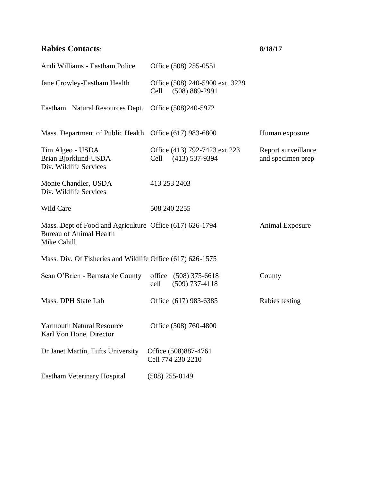## **Rabies Contacts**: **8/18/17**

| Andi Williams - Eastham Police                                                                            | Office (508) 255-0551                                         |                                          |
|-----------------------------------------------------------------------------------------------------------|---------------------------------------------------------------|------------------------------------------|
| Jane Crowley-Eastham Health                                                                               | Office (508) 240-5900 ext. 3229<br>Cell<br>$(508) 889 - 2991$ |                                          |
| Eastham Natural Resources Dept.                                                                           | Office (508)240-5972                                          |                                          |
| Mass. Department of Public Health Office (617) 983-6800                                                   |                                                               | Human exposure                           |
| Tim Algeo - USDA<br>Brian Bjorklund-USDA<br>Div. Wildlife Services                                        | Office (413) 792-7423 ext 223<br>Cell<br>$(413)$ 537-9394     | Report surveillance<br>and specimen prep |
| Monte Chandler, USDA<br>Div. Wildlife Services                                                            | 413 253 2403                                                  |                                          |
| <b>Wild Care</b>                                                                                          | 508 240 2255                                                  |                                          |
| Mass. Dept of Food and Agriculture Office (617) 626-1794<br><b>Bureau of Animal Health</b><br>Mike Cahill |                                                               | <b>Animal Exposure</b>                   |
| Mass. Div. Of Fisheries and Wildlife Office (617) 626-1575                                                |                                                               |                                          |
| Sean O'Brien - Barnstable County                                                                          | office (508) 375-6618<br>cell<br>$(509)$ 737-4118             | County                                   |
| Mass. DPH State Lab                                                                                       | Office (617) 983-6385                                         | Rabies testing                           |
| <b>Yarmouth Natural Resource</b><br>Karl Von Hone, Director                                               | Office (508) 760-4800                                         |                                          |
| Dr Janet Martin, Tufts University                                                                         | Office (508)887-4761<br>Cell 774 230 2210                     |                                          |
| Eastham Veterinary Hospital                                                                               | $(508)$ 255-0149                                              |                                          |